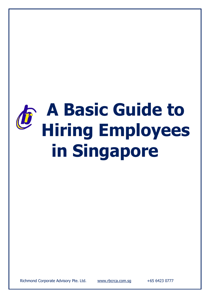# **A Basic Guide to Hiring Employees in Singapore**

Richmond Corporate Advisory Pte. Ltd. [www.rbcrca.com.sg](http://www.rbcrca.com.sg/) +65 6423 0777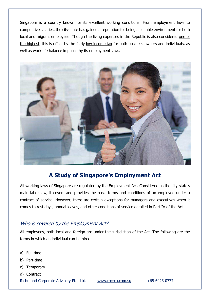Singapore is a country known for its excellent working conditions. From employment laws to competitive salaries, the city-state has gained a reputation for being a suitable environment for both local and migrant employees. Though the living expenses in the Republic is also considered [one of](https://www.internations.org/singapore-expats/guide/16061-economy-finance/cost-of-living-in-singapore-16043) [the highest,](https://www.internations.org/singapore-expats/guide/16061-economy-finance/cost-of-living-in-singapore-16043) this is offset by the fairly [low income tax](http://www.rbcrca.com.sg/taxation/a-guide-to-singapore-personal-tax) for both business owners and individuals, as well as work-life balance imposed by its employment laws.



## **[A Study of Singap](http://www.mom.gov.sg/employment-practices/employment-act/who-is-covered)ore's Employment Act**

All working laws of Singapore are regulated by the Employment Act. Considered as the city-state's main labor law, it covers and provides the basic terms and conditions of an employee under a contract of service. However, there are certain exceptions for managers and executives when it comes to rest days, annual leaves, and other conditions of service detailed in Part IV of the Act.

#### Who is covered by the Employment Act?

All employees, both local and foreign are under the jurisdiction of the Act. The following are the terms in which an individual can be hired:

- a) Full-time
- b) Part-time
- c) Temporary

Richmond Corporate Advisory Pte. Ltd. [www.rbcrca.com.sg](http://www.rbcrca.com.sg/) +65 6423 0777 d) Contract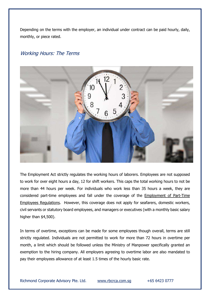Depending on the terms with the employer, an individual under contract can be paid hourly, daily, monthly, or piece rated.

#### Working Hours: The Terms



The Employment Act strictly regulates the working hours of laborers. Employees are not supposed to work for over eight hours a day, 12 for shift workers. This caps the total working hours to not be more than 44 hours per week. For individuals who work less than 35 hours a week, they are considered part-time employees and fall under the coverage of the [Employment of Part-Time](http://www.mom.gov.sg/employment-practices/employment-act/who-is-covered)  [Employees Regulations.](http://www.mom.gov.sg/employment-practices/employment-act/who-is-covered) However, this coverage does not apply for seafarers, domestic workers, civil servants or statutory board employees, and managers or executives (with a monthly basic salary higher than \$4,500).

In terms of overtime, exceptions can be made for some employees though overall, terms are still strictly regulated. Individuals are not permitted to work for more than 72 hours in overtime per month, a limit which should be followed unless the Ministry of Manpower specifically granted an exemption to the hiring company. All employers agreeing to overtime labor are also mandated to pay their employees allowance of at least 1.5 times of the hourly basic rate.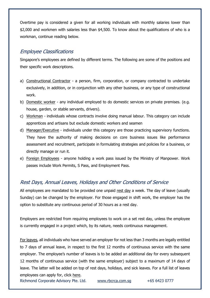Overtime pay is considered a given for all working individuals with monthly salaries lower than \$2,000 and workmen with salaries less than \$4,500. To know about the qualifications of who is a workman, continue reading below.

#### Employee Classifications

Singapore's employees are defined by different terms. The following are some of the positions and their specific work descriptions.

- a) [Constructional Contractor](http://statutes.agc.gov.sg/aol/search/display/view.w3p;page=0;query=DocId%3A571f13ea-3a91-47ef-a07b-f45d12fc2101%20Depth%3A0%20ValidTime%3A16%2F05%2F2013%20TransactionTime%3A16%2F05%2F2013%20Status%3Ainforce;rec=0;whole=yes)  a person, firm, corporation, or company contracted to undertake exclusively, in addition, or in conjunction with any other business, or any type of constructional work.
- b) [Domestic worker](http://statutes.agc.gov.sg/aol/search/display/view.w3p;page=0;query=DocId%3A571f13ea-3a91-47ef-a07b-f45d12fc2101%20Depth%3A0%20ValidTime%3A16%2F05%2F2013%20TransactionTime%3A16%2F05%2F2013%20Status%3Ainforce;rec=0;whole=yes)  any individual employed to do domestic services on private premises. (e.g. house, garden, or stable servants, drivers).
- c) [Workman](http://www.mom.gov.sg/employment-practices/employment-act/who-is-covered)  individuals whose contracts involve doing manual labour. This category can include apprentices and artisans but exclude domestic workers and seamen
- d) [Manager/Executive](http://www.mom.gov.sg/employment-practices/employment-act/who-is-covered)  individuals under this category are those practicing supervisory functions. They have the authority of making decisions on core business issues like performance assessment and recruitment, participate in formulating strategies and policies for a business, or directly manage or run it.
- e) [Foreign Employees](http://www.mom.gov.sg/legislation/employment-of-foreign-manpower-act)  anyone holding a work pass issued by the Ministry of Manpower. Work passes include Work Permits, S Pass, and Employment Pass.

### Rest Days, Annual Leaves, Holidays and Other Conditions of Service

All employees are mandated to be provided one unpaid [rest day](http://statutes.agc.gov.sg/aol/search/display/view.w3p;page=0;query=DocId%3A571f13ea-3a91-47ef-a07b-f45d12fc2101%20Depth%3A0%20ValidTime%3A16%2F05%2F2013%20TransactionTime%3A16%2F05%2F2013%20Status%3Ainforce;rec=0;whole=yes) a week. The day of leave (usually Sunday) can be changed by the employer. For those engaged in shift work, the employer has the option to substitute any continuous period of 30 hours as a rest day.

Employers are restricted from requiring employees to work on a set rest day, unless the employee is currently engaged in a project which, by its nature, needs continuous management.

[For leaves,](http://statutes.agc.gov.sg/aol/search/display/view.w3p;page=0;query=DocId%3A571f13ea-3a91-47ef-a07b-f45d12fc2101%20Depth%3A0%20ValidTime%3A16%2F05%2F2013%20TransactionTime%3A16%2F05%2F2013%20Status%3Ainforce;rec=0) all individuals who have served an employer for not less than 3 months are legally entitled to 7 days of annual leave, in respect to the first 12 months of continuous service with the same employer. The employee's number of leaves is to be added an additional day for every subsequent 12 months of continuous service (with the same employer) subject to a maximum of 14 days of leave. The latter will be added on top of rest days, holidays, and sick leaves. For a full list of leaves employees can apply for, click [here.](http://statutes.agc.gov.sg/aol/search/display/view.w3p;page=0;query=DocId%3A571f13ea-3a91-47ef-a07b-f45d12fc2101%20Depth%3A0%20ValidTime%3A16%2F05%2F2013%20TransactionTime%3A16%2F05%2F2013%20Status%3Ainforce;rec=0)

Richmond Corporate Advisory Pte. Ltd. [www.rbcrca.com.sg](http://www.rbcrca.com.sg/) +65 6423 0777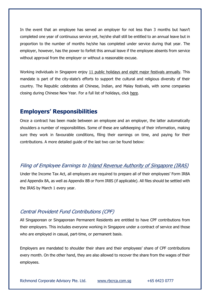In the event that an employee has served an employer for not less than 3 months but hasn't completed one year of continuous service yet, he/she shall still be entitled to an annual leave but in proportion to the number of months he/she has completed under service during that year. The employer, however, has the power to forfeit this annual leave if the employee absents from service without approval from the employer or without a reasonable excuse.

Working individuals in Singapore enjoy [11 public holidays and eight major festivals annually.](http://www.mom.gov.sg/employment-practices/employment-act) This mandate is part of the city-state's efforts to support the cultural and religious diversity of their country. The Republic celebrates all Chinese, Indian, and Malay festivals, with some companies closing during Chinese New Year. For a full list of holidays, click [here.](http://www.mom.gov.sg/employment-practices/employment-act)

## **Employers' Responsibilities**

Once a contract has been made between an employee and an employer, the latter automatically shoulders a number of responsibilities. Some of these are safekeeping of their information, making sure they work in favourable conditions, filing their earnings on time, and paying for their contributions. A more detailed guide of the last two can be found below:

#### Filing of Employee Earnings t[o Inland Revenue Authority of Singapore \(IRAS\)](https://www.iras.gov.sg/IRASHome/Businesses/Employers/Responsibilities-as-an-employer/)

Under the Income Tax Act, all employers are required to prepare all of their employees' Form IR8A and Appendix 8A, as well as Appendix 8B or Form IR8S (if applicable). All files should be settled with the IRAS by March 1 every year.

#### Central Provident Fund Contributions (CPF)

All Singaporean or Singaporean Permanent Residents are entitled to have CPF contributions from their employers. This includes everyone working in Singapore under a contract of service and those who are employed in casual, part-time, or permanent basis.

Employers are mandated to shoulder their share and their employees' share of CPF contributions every month. On the other hand, they are also allowed to recover the share from the wages of their employees.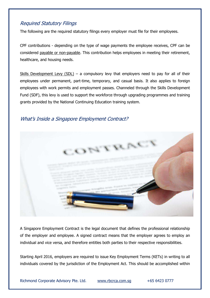### Required Statutory Filings

The following are the required statutory filings every employer must file for their employees.

CPF contributions - depending on the type of wage payments the employee receives, CPF can be considered [payable or non-payable.](https://www.cpf.gov.sg/Employers/employerguides/employer-guides/hiring-employees/cpf-contributions-for-your-employees) This contribution helps employees in meeting their retirement, healthcare, and housing needs.

[Skills Development Levy \(SDL\)](https://www.cpf.gov.sg/Employers/EmployerGuides/employer-guides/hiring-employees/skills-development-levy-(sdl)) – a compulsory levy that employers need to pay for all of their employees under permanent, part-time, temporary, and casual basis. It also applies to foreign employees with work permits and employment passes. Channeled through the Skills Development Fund (SDF), this levy is used to support the workforce through upgrading programmes and training grants provided by the National Continuing Education training system.

### What's Inside a Singapore Employment Contract?



A Singapore Employment Contract is the legal document that defines the professional relationship of the employer and employee. A signed contract means that the employer agrees to employ an individual and vice versa, and therefore entitles both parties to their respective responsibilities.

Starting April 2016, employers are required to issue Key Employment Terms (KETs) in writing to all individuals covered by the jurisdiction of the Employment Act. This should be accomplished within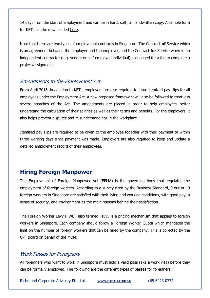14 days from the start of employment and can be in hard, soft, or handwritten copy. A sample form for KETs can be downloaded [here.](http://www.mom.gov.sg/~/media/mom/documents/employment-practices/kets/single-blank-plain-ket-english.pdf?la=en)

Note that there are two types of employment contracts in Singapore. The Contract **of** Service which is an agreement between the employer and the employee and the Contract **for** Service wherein an independent contractor (e.g. vendor or self-employed individual) is engaged for a fee to complete a project/assignment.

#### Amendments to the Employment Act

From April 2016, in addition to KETs, employers are also required to issue itemized pay slips for all employees under the Employment Act. A new proposed framework will also be followed to treat less severe breaches of the Act. The amendments are placed in order to help employees better understand the calculation of their salaries as well as their terms and benefits. For the employers, it also helps prevent disputes and misunderstandings in the workplace.

[Itemised pay slips](http://www.mom.gov.sg/employment-practices/salary/itemised-payslips) are required to be given to the employee together with their payment or within three working days since payment was made. Employers are also required to keep and update a [detailed employment record](http://www.mom.gov.sg/employment-practices/employment-records) of their employees.

# **Hiring Foreign Manpower**

The Employment of Foreign Manpower Act (EFMA) is the governing body that regulates the employment of foreign workers. According to a survey cited by the Business Standard, [9 out or](http://www.business-standard.com/article/pti-stories/foreign-workers-satisfied-with-working-condition-in-singapore-114120800090_1.html) 10 foreign workers in Singapore are satisfied with their living and working conditions, with good pay, a sense of security, and environment as the main reasons behind their satisfaction.

The [Foreign Worker Levy \(FWL\),](https://www.cpf.gov.sg/Employers/EmployerGuides/employer-guides/hiring-employees/foreign-worker-levy-(fwl)) also termed 'levy', is a pricing mechanism that applies to foreign workers in Singapore. Each company should follow a Foreign Worker Quota which mandates the limit on the number of foreign workers that can be hired by the company. This is collected by the CPF Board on behalf of the MOM.

#### Work Passes for Foreigners

All foreigners who want to work in Singapore must hold a valid pass (aka a work visa) before they can be formally employed. The following are the different types of passes for foreigners.

Richmond Corporate Advisory Pte. Ltd. [www.rbcrca.com.sg](http://www.rbcrca.com.sg/) +65 6423 0777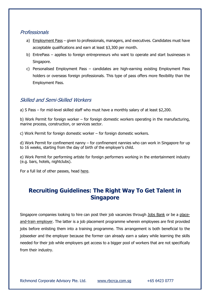#### Professionals

- a) [Employment Pass](http://www.rbcrca.com.sg/management/a-guide-to-singapore-employment-pass-ep-2016)  given to professionals, managers, and executives. Candidates must have acceptable qualifications and earn at least \$3,300 per month.
- b) EntrePass applies to foreign entrepreneurs who want to operate and start businesses in Singapore.
- c) Personalised Employment Pass candidates are high-earning existing Employment Pass holders or overseas foreign professionals. This type of pass offers more flexibility than the Employment Pass.

#### Skilled and Semi-Skilled Workers

a) S Pass – for mid-level skilled staff who must have a monthly salary of at least \$2,200.

b) Work Permit for foreign worker – for foreign domestic workers operating in the manufacturing, marine process, construction, or services sector.

c) Work Permit for foreign domestic worker – for foreign domestic workers.

d) Work Permit for confinement nanny – for confinement nannies who can work in Singapore for up to 16 weeks, starting from the day of birth of the employer's child.

e) Work Permit for performing artiste for foreign performers working in the entertainment industry (e.g. bars, hotels, nightclubs).

For a full list of other passes, head [here.](http://www.mom.gov.sg/passes-and-permits)

# **Recruiting Guidelines: The Right Way To Get Talent in Singapore**

Singapore companies looking to hire can post their job vacancies through [Jobs Bank](https://www.jobsbank.gov.sg/) or be a [place](http://www.wda.gov.sg/content/wdawebsite/L102-ForEmployers/L227-WhereUcanFindEmp.html)[and-train employer.](http://www.wda.gov.sg/content/wdawebsite/L102-ForEmployers/L227-WhereUcanFindEmp.html) The latter is a job placement programme wherein employees are first provided jobs before enlisting them into a training programme. This arrangement is both beneficial to the jobseeker and the employer because the former can already earn a salary while learning the skills needed for their job while employers get access to a bigger pool of workers that are not specifically from their industry.